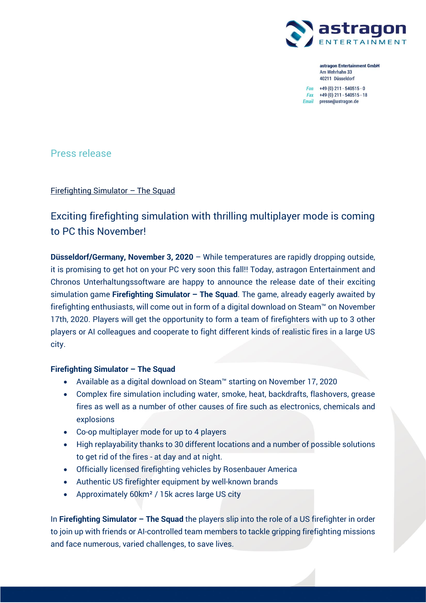

astragon Entertainment GmbH Am Wehrhahn 33 40211 Düsseldorf

 $Fon +49(0) 211 - 540515 - 0$ Fax +49 (0) 211 - 540515 - 18 Email presse@astragon.de

Press release

Firefighting Simulator – The Squad

# Exciting firefighting simulation with thrilling multiplayer mode is coming to PC this November!

**Düsseldorf/Germany, November 3, 2020** – While temperatures are rapidly dropping outside, it is promising to get hot on your PC very soon this fall!! Today, astragon Entertainment and Chronos Unterhaltungssoftware are happy to announce the release date of their exciting simulation game **Firefighting Simulator – The Squad**. The game, already eagerly awaited by firefighting enthusiasts, will come out in form of a digital download on Steam™ on November 17th, 2020. Players will get the opportunity to form a team of firefighters with up to 3 other players or AI colleagues and cooperate to fight different kinds of realistic fires in a large US city.

### **Firefighting Simulator – The Squad**

- Available as a digital download on Steam™ starting on November 17, 2020
- Complex fire simulation including water, smoke, heat, backdrafts, flashovers, grease fires as well as a number of other causes of fire such as electronics, chemicals and explosions
- Co-op multiplayer mode for up to 4 players
- High replayability thanks to 30 different locations and a number of possible solutions to get rid of the fires - at day and at night.
- Officially licensed firefighting vehicles by Rosenbauer America
- Authentic US firefighter equipment by well-known brands
- Approximately 60km² / 15k acres large US city

In **Firefighting Simulator – The Squad** the players slip into the role of a US firefighter in order to join up with friends or AI-controlled team members to tackle gripping firefighting missions and face numerous, varied challenges, to save lives.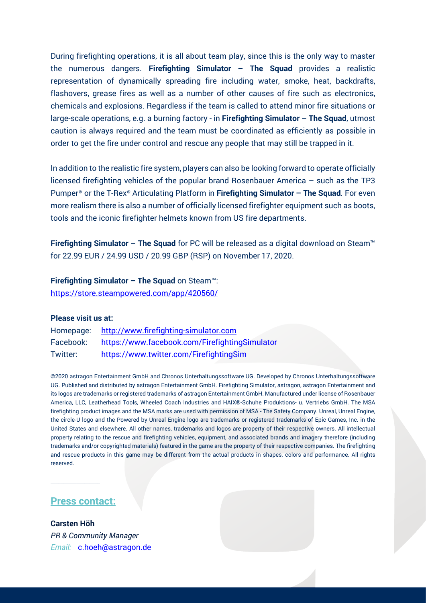During firefighting operations, it is all about team play, since this is the only way to master the numerous dangers. **Firefighting Simulator – The Squad** provides a realistic representation of dynamically spreading fire including water, smoke, heat, backdrafts, flashovers, grease fires as well as a number of other causes of fire such as electronics, chemicals and explosions. Regardless if the team is called to attend minor fire situations or large-scale operations, e.g. a burning factory - in **Firefighting Simulator – The Squad**, utmost caution is always required and the team must be coordinated as efficiently as possible in order to get the fire under control and rescue any people that may still be trapped in it.

In addition to the realistic fire system, players can also be looking forward to operate officially licensed firefighting vehicles of the popular brand Rosenbauer America – such as the TP3 Pumper® or the T-Rex® Articulating Platform in **Firefighting Simulator – The Squad**. For even more realism there is also a number of officially licensed firefighter equipment such as boots, tools and the iconic firefighter helmets known from US fire departments.

**Firefighting Simulator – The Squad** for PC will be released as a digital download on Steam™ for 22.99 EUR / 24.99 USD / 20.99 GBP (RSP) on November 17, 2020.

**Firefighting Simulator – The Squad** on Steam™: <https://store.steampowered.com/app/420560/>

### **Please visit us at:**

| Homepage: | http://www.firefighting-simulator.com          |
|-----------|------------------------------------------------|
| Facebook: | https://www.facebook.com/FirefightingSimulator |
| Twitter:  | https://www.twitter.com/FirefightingSim        |

©2020 astragon Entertainment GmbH and Chronos Unterhaltungssoftware UG. Developed by Chronos Unterhaltungssoftware UG. Published and distributed by astragon Entertainment GmbH. Firefighting Simulator, astragon, astragon Entertainment and its logos are trademarks or registered trademarks of astragon Entertainment GmbH. Manufactured under license of Rosenbauer America, LLC, Leatherhead Tools, Wheeled Coach Industries and HAIX®-Schuhe Produktions- u. Vertriebs GmbH. The MSA firefighting product images and the MSA marks are used with permission of MSA - The Safety Company. Unreal, Unreal Engine, the circle-U logo and the Powered by Unreal Engine logo are trademarks or registered trademarks of Epic Games, Inc. in the United States and elsewhere. All other names, trademarks and logos are property of their respective owners. All intellectual property relating to the rescue and firefighting vehicles, equipment, and associated brands and imagery therefore (including trademarks and/or copyrighted materials) featured in the game are the property of their respective companies. The firefighting and rescue products in this game may be different from the actual products in shapes, colors and performance. All rights reserved.

## **Press contact:**

\_\_\_\_\_\_\_\_\_\_\_\_\_\_\_\_\_\_\_

**Carsten Höh** *PR & Community Manager Email:* [c.hoeh@astragon.de](mailto:c.hoeh@astragon.de)